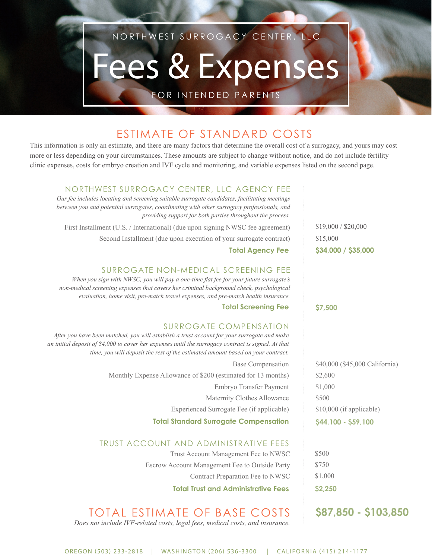## NORTHWEST SURROGACY CENTER, LLC

# ees & Expenses

FOR INTENDED PARENTS

## ESTIMATE OF STANDARD COSTS

This information is only an estimate, and there are many factors that determine the overall cost of a surrogacy, and yours may cost more or less depending on your circumstances. These amounts are subject to change without notice, and do not include fertility clinic expenses, costs for embryo creation and IVF cycle and monitoring, and variable expenses listed on the second page.

#### NORTHWEST SURROGACY CENTER, LLC AGENCY FEE

*Our fee includes locating and screening suitable surrogate candidates, facilitating meetings between you and potential surrogates, coordinating with other surrogacy professionals, and providing support for both parties throughout the process.*

First Installment (U.S. / International) (due upon signing NWSC fee agreement) Second Installment (due upon execution of your surrogate contract)

#### **Total Agency Fee**

#### SURROGATE NON-MEDICAL SCREENING FEE

*When you sign with NWSC, you will pay a one-time flat fee for your future surrogate's non-medical screening expenses that covers her criminal background check, psychological evaluation, home visit, pre-match travel expenses, and pre-match health insurance.*

#### **Total Screening Fee**

#### SURROGATE COMPENSATION

*After you have been matched, you will establish a trust account for your surrogate and make an initial deposit of \$4,000 to cover her expenses until the surrogacy contract is signed. At that time, you will deposit the rest of the estimated amount based on your contract.*

> Base Compensation Monthly Expense Allowance of \$200 (estimated for 13 months) Embryo Transfer Payment Maternity Clothes Allowance Experienced Surrogate Fee (if applicable) **Total Standard Surrogate Compensation**

#### TRUST ACCOUNT AND ADMINISTRATIVE FEES

Trust Account Management Fee to NWSC Escrow Account Management Fee to Outside Party Contract Preparation Fee to NWSC

**Total Trust and Administrative Fees**

#### TOTAL ESTIMATE OF BASE COSTS *Does not include IVF-related costs, legal fees, medical costs, and insurance.*

**\$34,000 / \$35,000**  \$19,000 / \$20,000 \$15,000

**\$7,500**

\$40,000 (\$45,000 California) \$2,600 \$1,000 \$500 \$10,000 (if applicable) **\$44,100 - \$59,100**

\$500 \$750 \$1,000 **\$2,250**

### **\$87,850 - \$103,850**